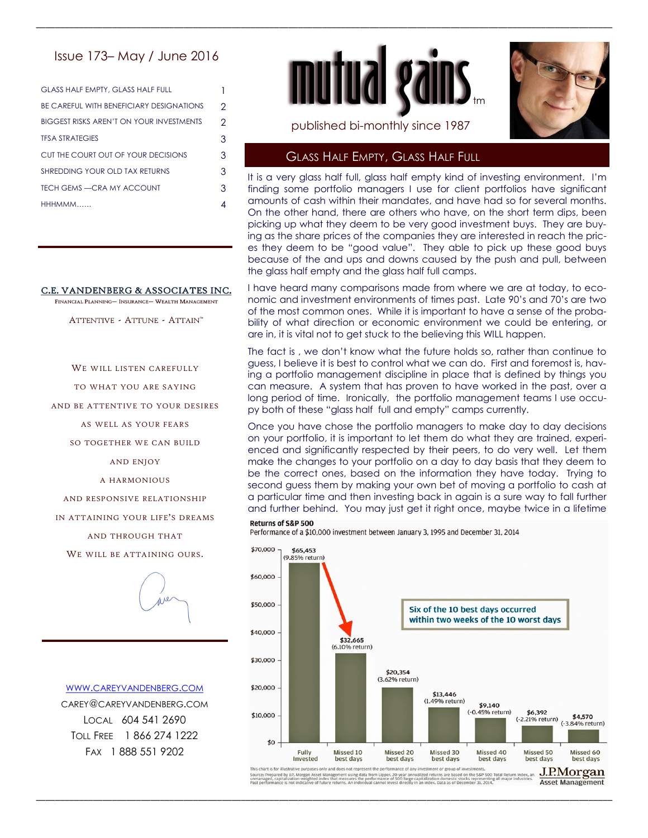# Issue 173– May / June 2016

| <b>GLASS HALF EMPTY, GLASS HALF FULL</b>        |               |
|-------------------------------------------------|---------------|
| BE CAREFUL WITH BENEFICIARY DESIGNATIONS        | $\mathcal{P}$ |
| <b>BIGGEST RISKS AREN'T ON YOUR INVESTMENTS</b> | $\mathcal{P}$ |
| <b>TFSA STRATEGIES</b>                          | 3             |
| CUT THE COURT OUT OF YOUR DECISIONS             | 3             |
| SHREDDING YOUR OLD TAX RETURNS                  | 3             |
| <b>TECH GEMS —CRA MY ACCOUNT</b>                | 3             |
| <b>HHHMMM</b>                                   | 4             |

### C.E. VANDENBERG & ASSOCIATES INC.

FINANCIAL PLANNING- INSURANCE- WEALTH MANAGEMENT

ATTENTIVE - ATTUNE - ATTAIN"

WE WILL LISTEN CAREFULLY

TO WHAT YOU ARE SAYING

AND BE ATTENTIVE TO YOUR DESIRES

AS WELL AS YOUR FEARS

SO TOGETHER WE CAN BUILD

AND ENJOY

A HARMONIOUS

AND RESPONSIVE RELATIONSHIP

IN ATTAINING YOUR LIFF'S DREAMS

AND THROUGH THAT

WE WILL BE ATTAINING OURS.



WWW.CAREYVANDENBERG.COM CAREY@CAREYVANDENBERG.COM LOCAL 604 541 2690 TOLL FREE 1 866 274 1222 FAX 1 888 551 9202



\_\_\_\_\_\_\_\_\_\_\_\_\_\_\_\_\_\_\_\_\_\_\_\_\_\_\_\_\_\_\_\_\_\_\_\_\_\_\_\_\_\_\_\_\_\_\_\_\_\_\_\_\_\_\_\_\_\_\_\_\_\_\_\_\_\_\_\_\_\_\_\_\_\_\_\_\_\_\_\_\_\_\_\_\_\_\_\_\_\_\_\_\_\_\_\_\_\_\_\_\_\_\_\_\_\_\_\_\_\_\_\_\_\_\_\_\_\_\_\_\_



published bi-monthly since 1987

## GLASS HALF EMPTY, GLASS HALF FULL

It is a very glass half full, glass half empty kind of investing environment. I'm finding some portfolio managers I use for client portfolios have significant amounts of cash within their mandates, and have had so for several months. On the other hand, there are others who have, on the short term dips, been picking up what they deem to be very good investment buys. They are buying as the share prices of the companies they are interested in reach the prices they deem to be "good value". They able to pick up these good buys because of the and ups and downs caused by the push and pull, between the glass half empty and the glass half full camps.

I have heard many comparisons made from where we are at today, to economic and investment environments of times past. Late 90's and 70's are two of the most common ones. While it is important to have a sense of the probability of what direction or economic environment we could be entering, or are in, it is vital not to get stuck to the believing this WILL happen.

The fact is , we don't know what the future holds so, rather than continue to guess, I believe it is best to control what we can do. First and foremost is, having a portfolio management discipline in place that is defined by things you can measure. A system that has proven to have worked in the past, over a long period of time. Ironically, the portfolio management teams I use occupy both of these "glass half full and empty" camps currently.

Once you have chose the portfolio managers to make day to day decisions on your portfolio, it is important to let them do what they are trained, experienced and significantly respected by their peers, to do very well. Let them make the changes to your portfolio on a day to day basis that they deem to be the correct ones, based on the information they have today. Trying to second guess them by making your own bet of moving a portfolio to cash at a particular time and then investing back in again is a sure way to fall further and further behind. You may just get it right once, maybe twice in a lifetime

#### Returns of S&P 500

Performance of a \$10,000 investment between January 3, 1995 and December 31, 2014



rom Lipper. 20-year annual<br>rformance of 500 large cap<br>al cannot invest directly in a Source: Prepared by J.P. Morgan Asset I<br>unmanaged, capitalization-weighted inc<br>Past performance is not indicative of fut t Management using data fr<br>ndex that measures the per<br>uture returns. An individual

\_\_\_\_\_\_\_\_\_\_\_\_\_\_\_\_\_\_\_\_\_\_\_\_\_\_\_\_\_\_\_\_\_\_\_\_\_\_\_\_\_\_\_\_\_\_\_\_\_\_\_\_\_\_\_\_\_\_\_\_\_\_\_\_\_\_\_\_\_\_\_\_\_\_\_\_\_\_\_\_\_\_\_\_\_\_\_\_\_\_\_\_\_\_\_\_\_\_\_\_\_\_\_\_\_\_\_\_\_\_\_\_\_\_\_\_\_\_\_\_\_

**Asset Management**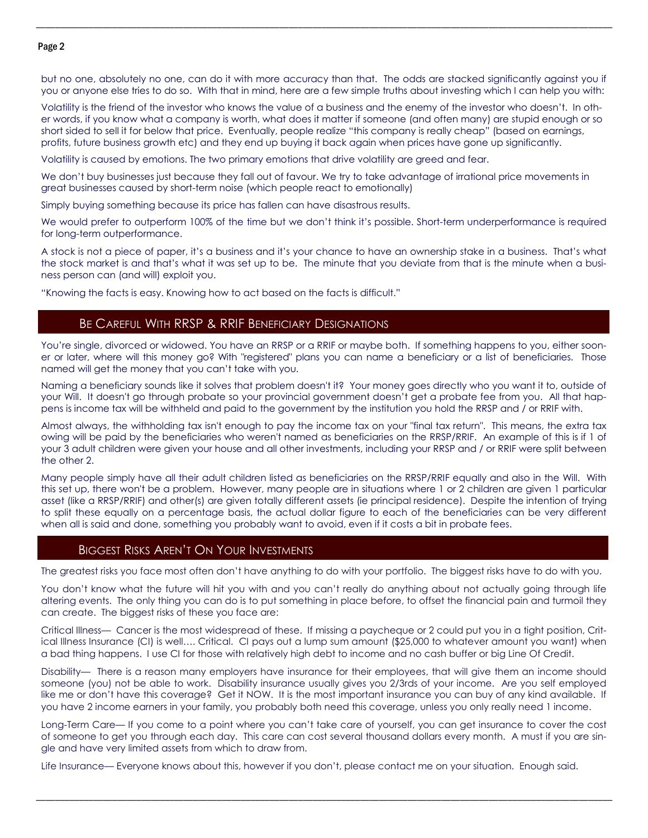### Page 2

but no one, absolutely no one, can do it with more accuracy than that. The odds are stacked significantly against you if you or anyone else tries to do so. With that in mind, here are a few simple truths about investing which I can help you with:

\_\_\_\_\_\_\_\_\_\_\_\_\_\_\_\_\_\_\_\_\_\_\_\_\_\_\_\_\_\_\_\_\_\_\_\_\_\_\_\_\_\_\_\_\_\_\_\_\_\_\_\_\_\_\_\_\_\_\_\_\_\_\_\_\_\_\_\_\_\_\_\_\_\_\_\_\_\_\_\_\_\_\_\_\_\_\_\_\_\_\_\_\_\_\_\_\_\_\_\_\_\_\_\_\_\_\_\_\_\_\_\_\_\_\_\_\_\_\_\_\_

Volatility is the friend of the investor who knows the value of a business and the enemy of the investor who doesn't. In other words, if you know what a company is worth, what does it matter if someone (and often many) are stupid enough or so short sided to sell it for below that price. Eventually, people realize "this company is really cheap" (based on earnings, profits, future business growth etc) and they end up buying it back again when prices have gone up significantly.

Volatility is caused by emotions. The two primary emotions that drive volatility are greed and fear.

We don't buy businesses just because they fall out of favour. We try to take advantage of irrational price movements in great businesses caused by short-term noise (which people react to emotionally)

Simply buying something because its price has fallen can have disastrous results.

We would prefer to outperform 100% of the time but we don't think it's possible. Short-term underperformance is required for long-term outperformance.

A stock is not a piece of paper, it's a business and it's your chance to have an ownership stake in a business. That's what the stock market is and that's what it was set up to be. The minute that you deviate from that is the minute when a business person can (and will) exploit you.

"Knowing the facts is easy. Knowing how to act based on the facts is difficult."

# BE CAREFUL WITH RRSP & RRIF BENEFICIARY DESIGNATIONS

You're single, divorced or widowed. You have an RRSP or a RRIF or maybe both. If something happens to you, either sooner or later, where will this money go? With "registered" plans you can name a beneficiary or a list of beneficiaries. Those named will get the money that you can't take with you.

Naming a beneficiary sounds like it solves that problem doesn't it? Your money goes directly who you want it to, outside of your Will. It doesn't go through probate so your provincial government doesn't get a probate fee from you. All that happens is income tax will be withheld and paid to the government by the institution you hold the RRSP and / or RRIF with.

Almost always, the withholding tax isn't enough to pay the income tax on your "final tax return". This means, the extra tax owing will be paid by the beneficiaries who weren't named as beneficiaries on the RRSP/RRIF. An example of this is if 1 of your 3 adult children were given your house and all other investments, including your RRSP and / or RRIF were split between the other 2.

Many people simply have all their adult children listed as beneficiaries on the RRSP/RRIF equally and also in the Will. With this set up, there won't be a problem. However, many people are in situations where 1 or 2 children are given 1 particular asset (like a RRSP/RRIF) and other(s) are given totally different assets (ie principal residence). Despite the intention of trying to split these equally on a percentage basis, the actual dollar figure to each of the beneficiaries can be very different when all is said and done, something you probably want to avoid, even if it costs a bit in probate fees.

### BIGGEST RISKS AREN'T ON YOUR INVESTMENTS

The greatest risks you face most often don't have anything to do with your portfolio. The biggest risks have to do with you.

You don't know what the future will hit you with and you can't really do anything about not actually going through life altering events. The only thing you can do is to put something in place before, to offset the financial pain and turmoil they can create. The biggest risks of these you face are:

Critical Illness— Cancer is the most widespread of these. If missing a paycheque or 2 could put you in a tight position, Critical Illness Insurance (CI) is well…. Critical. CI pays out a lump sum amount (\$25,000 to whatever amount you want) when a bad thing happens. I use CI for those with relatively high debt to income and no cash buffer or big Line Of Credit.

Disability— There is a reason many employers have insurance for their employees, that will give them an income should someone (you) not be able to work. Disability insurance usually gives you 2/3rds of your income. Are you self employed like me or don't have this coverage? Get it NOW. It is the most important insurance you can buy of any kind available. If you have 2 income earners in your family, you probably both need this coverage, unless you only really need 1 income.

Long-Term Care— If you come to a point where you can't take care of yourself, you can get insurance to cover the cost of someone to get you through each day. This care can cost several thousand dollars every month. A must if you are single and have very limited assets from which to draw from.

\_\_\_\_\_\_\_\_\_\_\_\_\_\_\_\_\_\_\_\_\_\_\_\_\_\_\_\_\_\_\_\_\_\_\_\_\_\_\_\_\_\_\_\_\_\_\_\_\_\_\_\_\_\_\_\_\_\_\_\_\_\_\_\_\_\_\_\_\_\_\_\_\_\_\_\_\_\_\_\_\_\_\_\_\_\_\_\_\_\_\_\_\_\_\_\_\_\_\_\_\_\_\_\_\_\_\_\_\_\_\_\_\_\_\_\_\_\_\_\_\_

Life Insurance— Everyone knows about this, however if you don't, please contact me on your situation. Enough said.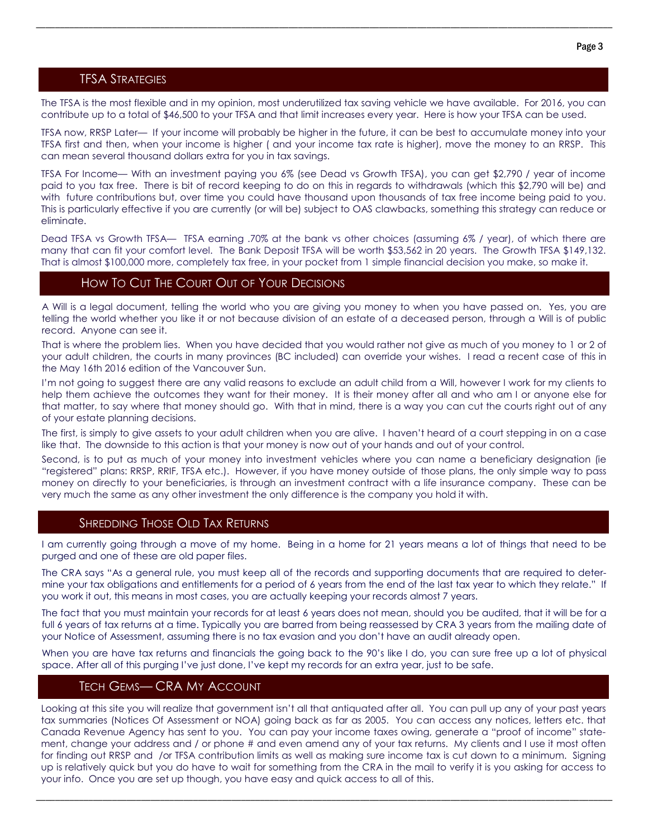## TFSA STRATEGIES

The TFSA is the most flexible and in my opinion, most underutilized tax saving vehicle we have available. For 2016, you can contribute up to a total of \$46,500 to your TFSA and that limit increases every year. Here is how your TFSA can be used.

\_\_\_\_\_\_\_\_\_\_\_\_\_\_\_\_\_\_\_\_\_\_\_\_\_\_\_\_\_\_\_\_\_\_\_\_\_\_\_\_\_\_\_\_\_\_\_\_\_\_\_\_\_\_\_\_\_\_\_\_\_\_\_\_\_\_\_\_\_\_\_\_\_\_\_\_\_\_\_\_\_\_\_\_\_\_\_\_\_\_\_\_\_\_\_\_\_\_\_\_\_\_\_\_\_\_\_\_\_\_\_\_\_\_\_\_\_\_\_\_\_

TFSA now, RRSP Later— If your income will probably be higher in the future, it can be best to accumulate money into your TFSA first and then, when your income is higher ( and your income tax rate is higher), move the money to an RRSP. This can mean several thousand dollars extra for you in tax savings.

TFSA For Income— With an investment paying you 6% (see Dead vs Growth TFSA), you can get \$2,790 / year of income paid to you tax free. There is bit of record keeping to do on this in regards to withdrawals (which this \$2,790 will be) and with future contributions but, over time you could have thousand upon thousands of tax free income being paid to you. This is particularly effective if you are currently (or will be) subject to OAS clawbacks, something this strategy can reduce or eliminate.

Dead TFSA vs Growth TFSA— TFSA earning .70% at the bank vs other choices (assuming 6% / year), of which there are many that can fit your comfort level. The Bank Deposit TFSA will be worth \$53,562 in 20 years. The Growth TFSA \$149,132. That is almost \$100,000 more, completely tax free, in your pocket from 1 simple financial decision you make, so make it.

### HOW TO CUT THE COURT OUT OF YOUR DECISIONS

A Will is a legal document, telling the world who you are giving you money to when you have passed on. Yes, you are telling the world whether you like it or not because division of an estate of a deceased person, through a Will is of public record. Anyone can see it.

That is where the problem lies. When you have decided that you would rather not give as much of you money to 1 or 2 of your adult children, the courts in many provinces (BC included) can override your wishes. I read a recent case of this in the May 16th 2016 edition of the Vancouver Sun.

I'm not going to suggest there are any valid reasons to exclude an adult child from a Will, however I work for my clients to help them achieve the outcomes they want for their money. It is their money after all and who am I or anyone else for that matter, to say where that money should go. With that in mind, there is a way you can cut the courts right out of any of your estate planning decisions.

The first, is simply to give assets to your adult children when you are alive. I haven't heard of a court stepping in on a case like that. The downside to this action is that your money is now out of your hands and out of your control.

Second, is to put as much of your money into investment vehicles where you can name a beneficiary designation (ie "registered" plans: RRSP, RRIF, TFSA etc.). However, if you have money outside of those plans, the only simple way to pass money on directly to your beneficiaries, is through an investment contract with a life insurance company. These can be very much the same as any other investment the only difference is the company you hold it with.

## SHREDDING THOSE OLD TAX RETURNS

I am currently going through a move of my home. Being in a home for 21 years means a lot of things that need to be purged and one of these are old paper files.

The CRA says "As a general rule, you must keep all of the records and supporting documents that are required to determine your tax obligations and entitlements for a period of 6 years from the end of the last tax year to which they relate." If you work it out, this means in most cases, you are actually keeping your records almost 7 years.

The fact that you must maintain your records for at least 6 years does not mean, should you be audited, that it will be for a full 6 years of tax returns at a time. Typically you are barred from being reassessed by CRA 3 years from the mailing date of your Notice of Assessment, assuming there is no tax evasion and you don't have an audit already open.

When you are have tax returns and financials the going back to the 90's like I do, you can sure free up a lot of physical space. After all of this purging I've just done, I've kept my records for an extra year, just to be safe.

### TECH GEMS— CRA MY ACCOUNT

Looking at this site you will realize that government isn't all that antiquated after all. You can pull up any of your past years tax summaries (Notices Of Assessment or NOA) going back as far as 2005. You can access any notices, letters etc. that Canada Revenue Agency has sent to you. You can pay your income taxes owing, generate a "proof of income" statement, change your address and / or phone # and even amend any of your tax returns. My clients and I use it most often for finding out RRSP and /or TFSA contribution limits as well as making sure income tax is cut down to a minimum. Signing up is relatively quick but you do have to wait for something from the CRA in the mail to verify it is you asking for access to your info. Once you are set up though, you have easy and quick access to all of this.

\_\_\_\_\_\_\_\_\_\_\_\_\_\_\_\_\_\_\_\_\_\_\_\_\_\_\_\_\_\_\_\_\_\_\_\_\_\_\_\_\_\_\_\_\_\_\_\_\_\_\_\_\_\_\_\_\_\_\_\_\_\_\_\_\_\_\_\_\_\_\_\_\_\_\_\_\_\_\_\_\_\_\_\_\_\_\_\_\_\_\_\_\_\_\_\_\_\_\_\_\_\_\_\_\_\_\_\_\_\_\_\_\_\_\_\_\_\_\_\_\_